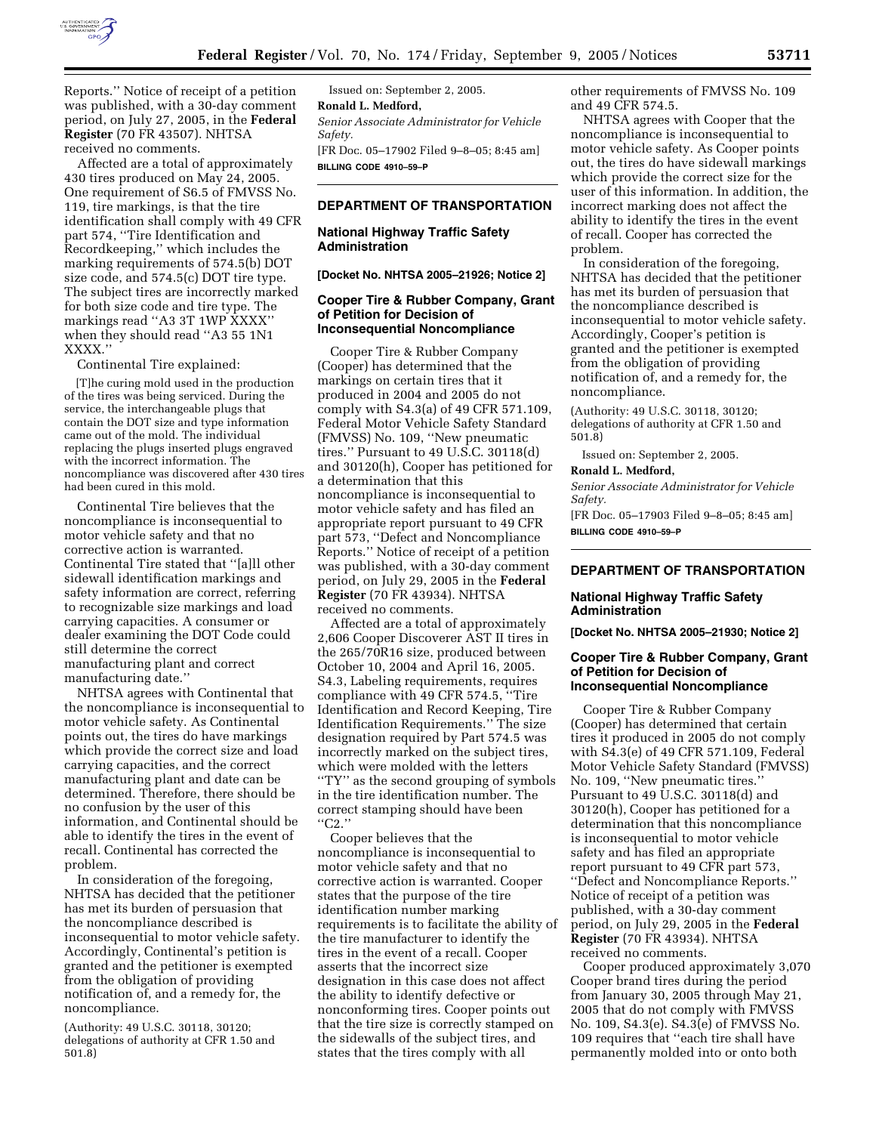

Reports.'' Notice of receipt of a petition was published, with a 30-day comment period, on July 27, 2005, in the **Federal Register** (70 FR 43507). NHTSA received no comments.

Affected are a total of approximately 430 tires produced on May 24, 2005. One requirement of S6.5 of FMVSS No. 119, tire markings, is that the tire identification shall comply with 49 CFR part 574, ''Tire Identification and Recordkeeping,'' which includes the marking requirements of 574.5(b) DOT size code, and 574.5(c) DOT tire type. The subject tires are incorrectly marked for both size code and tire type. The markings read ''A3 3T 1WP XXXX'' when they should read ''A3 55 1N1 XXXX.''

Continental Tire explained:

[T]he curing mold used in the production of the tires was being serviced. During the service, the interchangeable plugs that contain the DOT size and type information came out of the mold. The individual replacing the plugs inserted plugs engraved with the incorrect information. The noncompliance was discovered after 430 tires had been cured in this mold.

Continental Tire believes that the noncompliance is inconsequential to motor vehicle safety and that no corrective action is warranted. Continental Tire stated that ''[a]ll other sidewall identification markings and safety information are correct, referring to recognizable size markings and load carrying capacities. A consumer or dealer examining the DOT Code could still determine the correct manufacturing plant and correct manufacturing date.''

NHTSA agrees with Continental that the noncompliance is inconsequential to motor vehicle safety. As Continental points out, the tires do have markings which provide the correct size and load carrying capacities, and the correct manufacturing plant and date can be determined. Therefore, there should be no confusion by the user of this information, and Continental should be able to identify the tires in the event of recall. Continental has corrected the problem.

In consideration of the foregoing, NHTSA has decided that the petitioner has met its burden of persuasion that the noncompliance described is inconsequential to motor vehicle safety. Accordingly, Continental's petition is granted and the petitioner is exempted from the obligation of providing notification of, and a remedy for, the noncompliance.

(Authority: 49 U.S.C. 30118, 30120; delegations of authority at CFR 1.50 and 501.8)

Issued on: September 2, 2005. **Ronald L. Medford,**  *Senior Associate Administrator for Vehicle Safety.*  [FR Doc. 05–17902 Filed 9–8–05; 8:45 am] **BILLING CODE 4910–59–P** 

# **DEPARTMENT OF TRANSPORTATION**

### **National Highway Traffic Safety Administration**

**[Docket No. NHTSA 2005–21926; Notice 2]** 

## **Cooper Tire & Rubber Company, Grant of Petition for Decision of Inconsequential Noncompliance**

Cooper Tire & Rubber Company (Cooper) has determined that the markings on certain tires that it produced in 2004 and 2005 do not comply with S4.3(a) of 49 CFR 571.109, Federal Motor Vehicle Safety Standard (FMVSS) No. 109, ''New pneumatic tires.'' Pursuant to 49 U.S.C. 30118(d) and 30120(h), Cooper has petitioned for a determination that this noncompliance is inconsequential to motor vehicle safety and has filed an appropriate report pursuant to 49 CFR part 573, ''Defect and Noncompliance Reports.'' Notice of receipt of a petition was published, with a 30-day comment period, on July 29, 2005 in the **Federal Register** (70 FR 43934). NHTSA received no comments.

Affected are a total of approximately 2,606 Cooper Discoverer AST II tires in the 265/70R16 size, produced between October 10, 2004 and April 16, 2005. S4.3, Labeling requirements, requires compliance with 49 CFR 574.5, ''Tire Identification and Record Keeping, Tire Identification Requirements.'' The size designation required by Part 574.5 was incorrectly marked on the subject tires, which were molded with the letters ''TY'' as the second grouping of symbols in the tire identification number. The correct stamping should have been  $"C2."$ 

Cooper believes that the noncompliance is inconsequential to motor vehicle safety and that no corrective action is warranted. Cooper states that the purpose of the tire identification number marking requirements is to facilitate the ability of the tire manufacturer to identify the tires in the event of a recall. Cooper asserts that the incorrect size designation in this case does not affect the ability to identify defective or nonconforming tires. Cooper points out that the tire size is correctly stamped on the sidewalls of the subject tires, and states that the tires comply with all

other requirements of FMVSS No. 109 and 49 CFR 574.5.

NHTSA agrees with Cooper that the noncompliance is inconsequential to motor vehicle safety. As Cooper points out, the tires do have sidewall markings which provide the correct size for the user of this information. In addition, the incorrect marking does not affect the ability to identify the tires in the event of recall. Cooper has corrected the problem.

In consideration of the foregoing, NHTSA has decided that the petitioner has met its burden of persuasion that the noncompliance described is inconsequential to motor vehicle safety. Accordingly, Cooper's petition is granted and the petitioner is exempted from the obligation of providing notification of, and a remedy for, the noncompliance.

(Authority: 49 U.S.C. 30118, 30120; delegations of authority at CFR 1.50 and 501.8)

Issued on: September 2, 2005.

#### **Ronald L. Medford,**

*Senior Associate Administrator for Vehicle Safety.* 

[FR Doc. 05–17903 Filed 9–8–05; 8:45 am] **BILLING CODE 4910–59–P** 

# **DEPARTMENT OF TRANSPORTATION**

# **National Highway Traffic Safety Administration**

**[Docket No. NHTSA 2005–21930; Notice 2]** 

### **Cooper Tire & Rubber Company, Grant of Petition for Decision of Inconsequential Noncompliance**

Cooper Tire & Rubber Company (Cooper) has determined that certain tires it produced in 2005 do not comply with S4.3(e) of 49 CFR 571.109, Federal Motor Vehicle Safety Standard (FMVSS) No. 109, ''New pneumatic tires.'' Pursuant to 49 U.S.C. 30118(d) and 30120(h), Cooper has petitioned for a determination that this noncompliance is inconsequential to motor vehicle safety and has filed an appropriate report pursuant to 49 CFR part 573, ''Defect and Noncompliance Reports.'' Notice of receipt of a petition was published, with a 30-day comment period, on July 29, 2005 in the **Federal Register** (70 FR 43934). NHTSA received no comments.

Cooper produced approximately 3,070 Cooper brand tires during the period from January 30, 2005 through May 21, 2005 that do not comply with FMVSS No. 109, S4.3(e). S4.3(e) of FMVSS No. 109 requires that ''each tire shall have permanently molded into or onto both